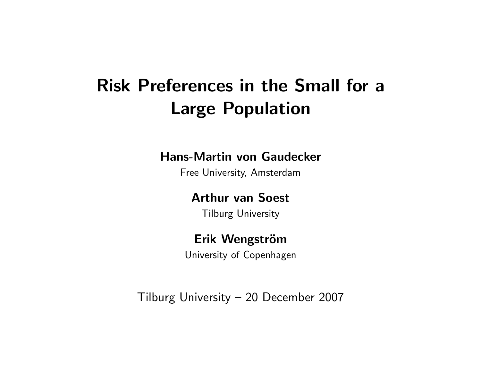# Risk Preferences in the Small for a Large Population

#### Hans-Martin von Gaudecker

Free University, Amsterdam

#### Arthur van Soest

Tilburg University

#### Erik Wengström

University of Copenhagen

Tilburg University – 20 December 2007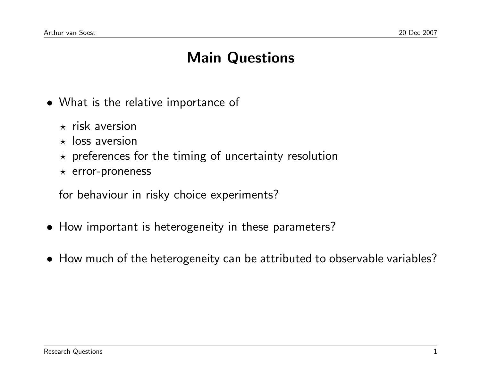# Main Questions

- What is the relative importance of
	- $\star$  risk aversion
	- $\star$  loss aversion
	- $\star$  preferences for the timing of uncertainty resolution
	- $\star$  error-proneness

for behaviour in risky choice experiments?

- How important is heterogeneity in these parameters?
- How much of the heterogeneity can be attributed to observable variables?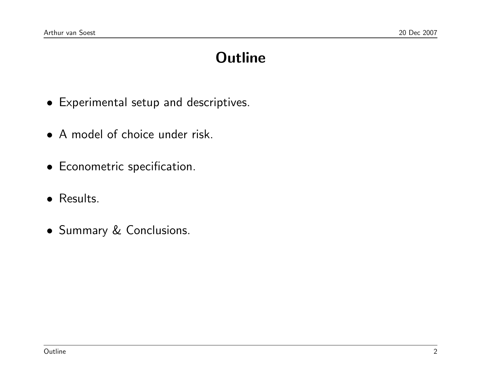# **Outline**

- Experimental setup and descriptives.
- A model of choice under risk.
- Econometric specification.
- Results.
- Summary & Conclusions.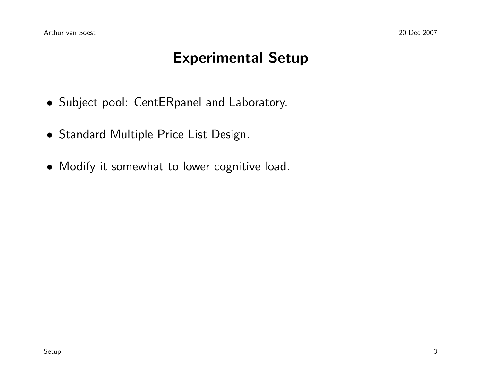### Experimental Setup

- Subject pool: CentERpanel and Laboratory.
- Standard Multiple Price List Design.
- Modify it somewhat to lower cognitive load.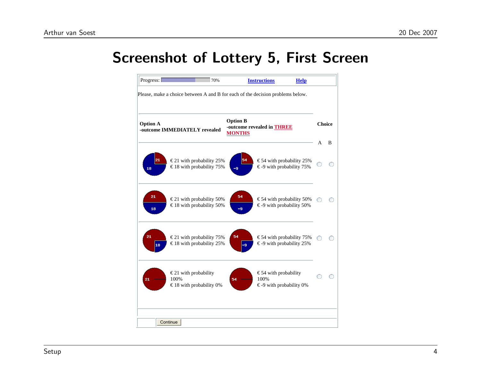#### Screenshot of Lottery 5, First Screen

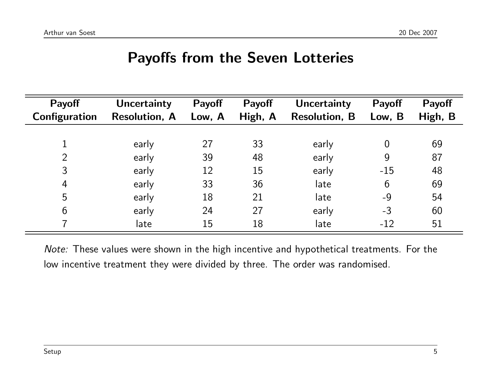#### Payoffs from the Seven Lotteries

| Payoff         | <b>Uncertainty</b>   | Payoff | Payoff  | <b>Uncertainty</b>   | Payoff         | Payoff  |
|----------------|----------------------|--------|---------|----------------------|----------------|---------|
| Configuration  | <b>Resolution, A</b> | Low, A | High, A | <b>Resolution, B</b> | Low, B         | High, B |
|                |                      |        |         |                      |                |         |
|                | early                | 27     | 33      | early                | $\overline{0}$ | 69      |
| $\overline{2}$ | early                | 39     | 48      | early                | 9              | 87      |
| 3              | early                | 12     | 15      | early                | $-15$          | 48      |
| $\overline{4}$ | early                | 33     | 36      | late                 | 6              | 69      |
| 5              | early                | 18     | 21      | late                 | $-9$           | 54      |
| 6              | early                | 24     | 27      | early                | $-3$           | 60      |
|                | late                 | 15     | 18      | late                 | $-12$          | 51      |

Note: These values were shown in the high incentive and hypothetical treatments. For the low incentive treatment they were divided by three. The order was randomised.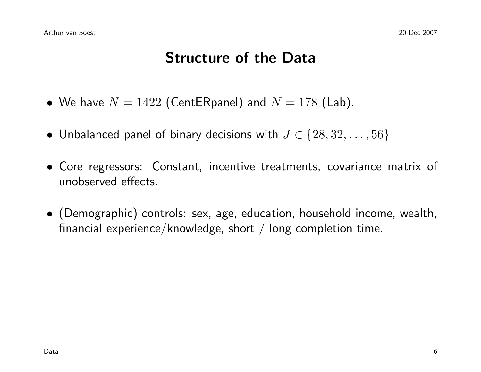#### Structure of the Data

- We have  $N = 1422$  (CentERpanel) and  $N = 178$  (Lab).
- Unbalanced panel of binary decisions with  $J \in \{28, 32, \ldots, 56\}$
- Core regressors: Constant, incentive treatments, covariance matrix of unobserved effects.
- (Demographic) controls: sex, age, education, household income, wealth, financial experience/knowledge, short / long completion time.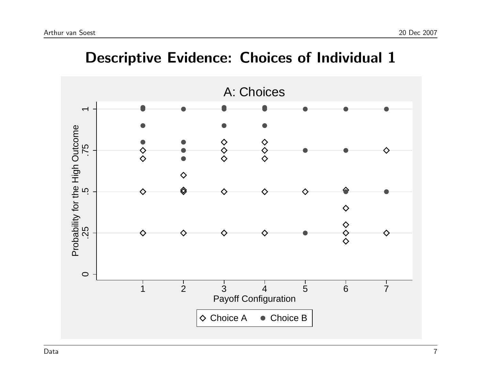

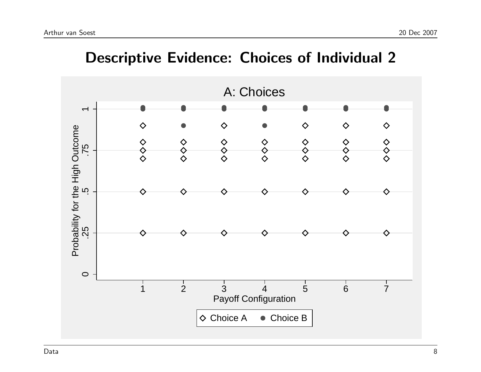

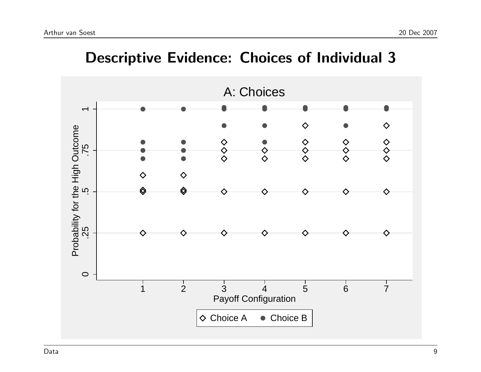

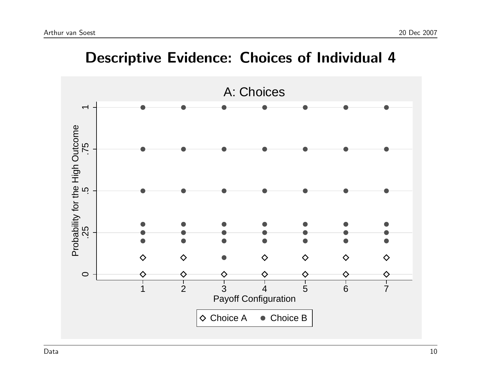

#### Descriptive Evidence: Choices of Individual 4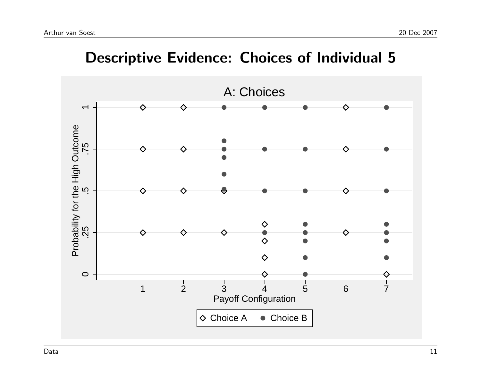

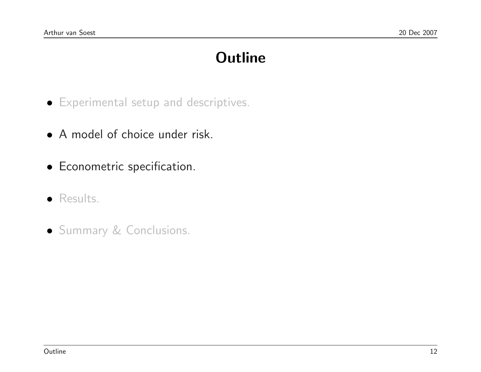# **Outline**

- Experimental setup and descriptives.
- A model of choice under risk.
- Econometric specification.
- Results.
- Summary & Conclusions.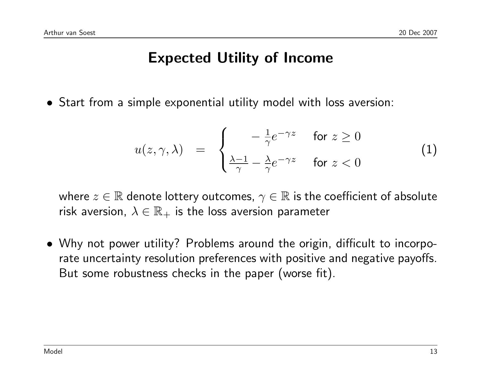### Expected Utility of Income

• Start from a simple exponential utility model with loss aversion:

<span id="page-13-0"></span>
$$
u(z, \gamma, \lambda) = \begin{cases} -\frac{1}{\gamma} e^{-\gamma z} & \text{for } z \ge 0\\ \frac{\lambda - 1}{\gamma} - \frac{\lambda}{\gamma} e^{-\gamma z} & \text{for } z < 0 \end{cases}
$$
 (1)

where  $z \in \mathbb{R}$  denote lottery outcomes,  $\gamma \in \mathbb{R}$  is the coefficient of absolute risk aversion,  $\lambda \in \mathbb{R}_+$  is the loss aversion parameter

• Why not power utility? Problems around the origin, difficult to incorporate uncertainty resolution preferences with positive and negative payoffs. But some robustness checks in the paper (worse fit).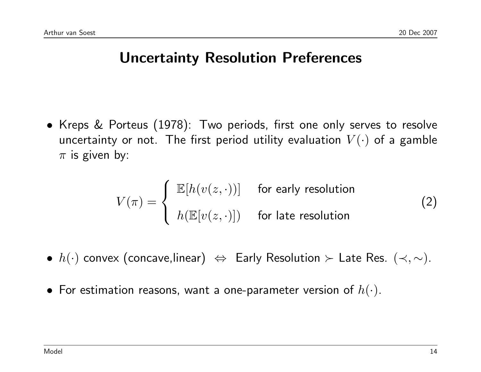#### Uncertainty Resolution Preferences

• Kreps & Porteus (1978): Two periods, first one only serves to resolve uncertainty or not. The first period utility evaluation  $V(\cdot)$  of a gamble  $\pi$  is given by:

$$
V(\pi) = \begin{cases} \mathbb{E}[h(v(z, \cdot))] & \text{for early resolution} \\ h(\mathbb{E}[v(z, \cdot)]) & \text{for late resolution} \end{cases}
$$
 (2)

- $\bullet\;h(\cdot)$  convex (concave,linear)  $\Leftrightarrow$  Early Resolution  $\succ$  Late Res.  $(\prec,\sim)$ .
- For estimation reasons, want a one-parameter version of  $h(\cdot)$ .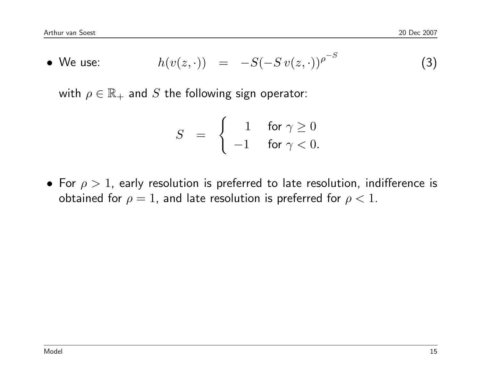• We use: 
$$
h(v(z, \cdot)) = -S(-Sv(z, \cdot))^{p^{-S}}
$$
 (3)

with  $\rho \in \mathbb{R}_+$  and S the following sign operator:

$$
S = \begin{cases} 1 & \text{for } \gamma \ge 0 \\ -1 & \text{for } \gamma < 0. \end{cases}
$$

• For  $\rho > 1$ , early resolution is preferred to late resolution, indifference is obtained for  $\rho = 1$ , and late resolution is preferred for  $\rho < 1$ .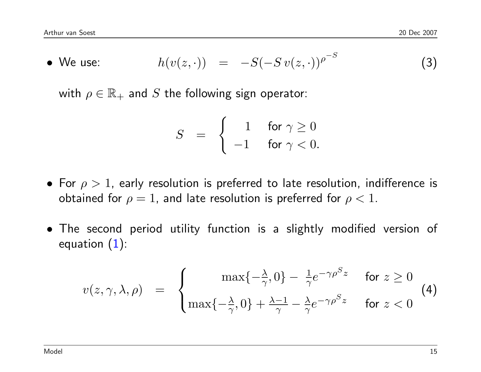• We use: 
$$
h(v(z, \cdot)) = -S(-Sv(z, \cdot))^{p^{-S}}
$$
 (3)

with  $\rho \in \mathbb{R}_+$  and S the following sign operator:

$$
S = \begin{cases} 1 & \text{for } \gamma \ge 0 \\ -1 & \text{for } \gamma < 0. \end{cases}
$$

- For  $\rho > 1$ , early resolution is preferred to late resolution, indifference is obtained for  $\rho = 1$ , and late resolution is preferred for  $\rho < 1$ .
- The second period utility function is a slightly modified version of equation [\(1\)](#page-13-0):

$$
v(z, \gamma, \lambda, \rho) = \begin{cases} \max\{-\frac{\lambda}{\gamma}, 0\} - \frac{1}{\gamma} e^{-\gamma \rho^{S} z} & \text{for } z \ge 0\\ \max\{-\frac{\lambda}{\gamma}, 0\} + \frac{\lambda - 1}{\gamma} - \frac{\lambda}{\gamma} e^{-\gamma \rho^{S} z} & \text{for } z < 0 \end{cases}
$$
(4)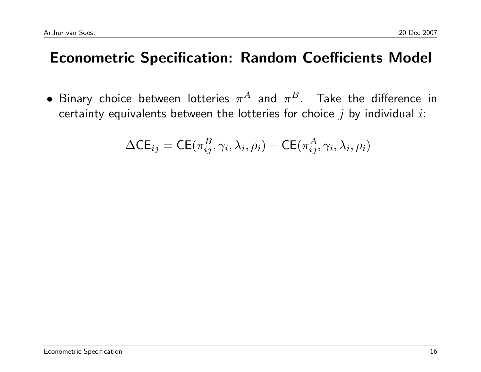# Econometric Specification: Random Coefficients Model

 $\bullet$  Binary choice between lotteries  $\pi^A$  and  $\pi^B$ . Take the difference in certainty equivalents between the lotteries for choice  $j$  by individual  $i$ :

$$
\Delta \mathsf{CE}_{ij} = \mathsf{CE}(\pi_{ij}^B, \gamma_i, \lambda_i, \rho_i) - \mathsf{CE}(\pi_{ij}^A, \gamma_i, \lambda_i, \rho_i)
$$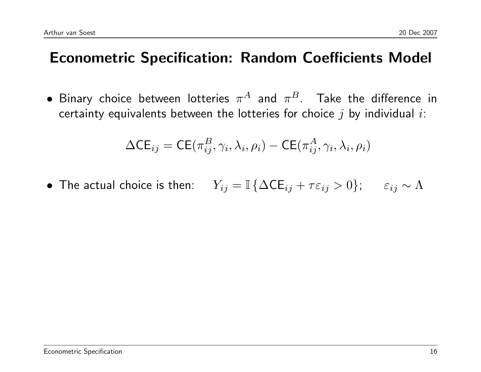# Econometric Specification: Random Coefficients Model

 $\bullet$  Binary choice between lotteries  $\pi^A$  and  $\pi^B$ . Take the difference in certainty equivalents between the lotteries for choice  $j$  by individual  $i$ :

$$
\Delta \mathsf{CE}_{ij} = \mathsf{CE}(\pi_{ij}^B, \gamma_i, \lambda_i, \rho_i) - \mathsf{CE}(\pi_{ij}^A, \gamma_i, \lambda_i, \rho_i)
$$

• The actual choice is then:  $Y_{ij} = \mathbb{I} \{ \Delta \mathsf{CE}_{ij} + \tau \varepsilon_{ij} > 0 \}; \quad \varepsilon_{ij} \sim \Lambda$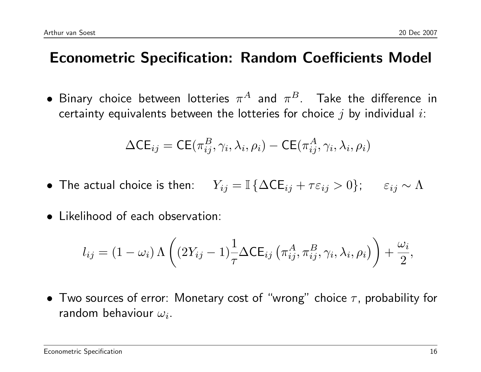### Econometric Specification: Random Coefficients Model

 $\bullet$  Binary choice between lotteries  $\pi^A$  and  $\pi^B$ . Take the difference in certainty equivalents between the lotteries for choice  $j$  by individual  $i$ :

$$
\Delta \mathsf{CE}_{ij} = \mathsf{CE}(\pi_{ij}^B, \gamma_i, \lambda_i, \rho_i) - \mathsf{CE}(\pi_{ij}^A, \gamma_i, \lambda_i, \rho_i)
$$

- The actual choice is then:  $Y_{ij} = \mathbb{I} \{ \Delta \mathsf{CE}_{ij} + \tau \varepsilon_{ij} > 0 \}; \quad \varepsilon_{ij} \sim \Lambda$
- Likelihood of each observation:

$$
l_{ij} = (1 - \omega_i) \Lambda \left( (2Y_{ij} - 1) \frac{1}{\tau} \Delta \mathsf{CE}_{ij} \left( \pi_{ij}^A, \pi_{ij}^B, \gamma_i, \lambda_i, \rho_i \right) \right) + \frac{\omega_i}{2},
$$

• Two sources of error: Monetary cost of "wrong" choice  $\tau$ , probability for random behaviour  $\omega_i$ .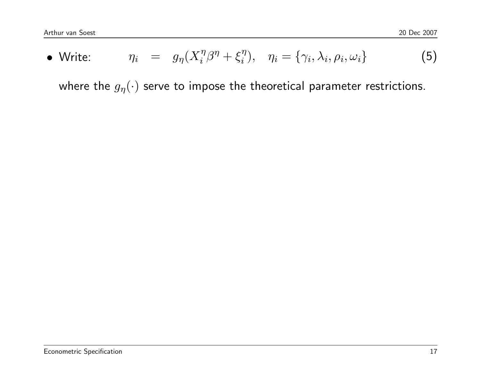• Write: 
$$
\eta_i = g_{\eta}(X_i^{\eta}\beta^{\eta} + \xi_i^{\eta}), \quad \eta_i = \{\gamma_i, \lambda_i, \rho_i, \omega_i\}
$$
 (5)

where the  $g_{\eta}(\cdot)$  serve to impose the theoretical parameter restrictions.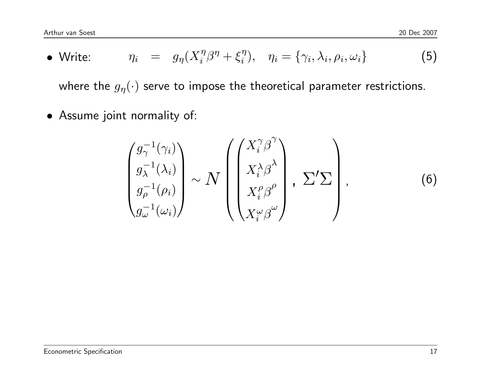• Write: 
$$
\eta_i = g_{\eta}(X_i^{\eta}\beta^{\eta} + \xi_i^{\eta}), \quad \eta_i = \{\gamma_i, \lambda_i, \rho_i, \omega_i\}
$$
 (5)

where the  $g_{\eta}(\cdot)$  serve to impose the theoretical parameter restrictions.

• Assume joint normality of:

$$
\begin{pmatrix} g_{\gamma}^{-1}(\gamma_i) \\ g_{\lambda}^{-1}(\lambda_i) \\ g_{\rho}^{-1}(\rho_i) \\ g_{\omega}^{-1}(\omega_i) \end{pmatrix} \sim N \begin{pmatrix} X_i^{\gamma} \beta^{\gamma} \\ X_i^{\lambda} \beta^{\lambda} \\ X_i^{\rho} \beta^{\rho} \\ X_i^{\omega} \beta^{\omega} \end{pmatrix}, \Sigma' \Sigma \qquad (6)
$$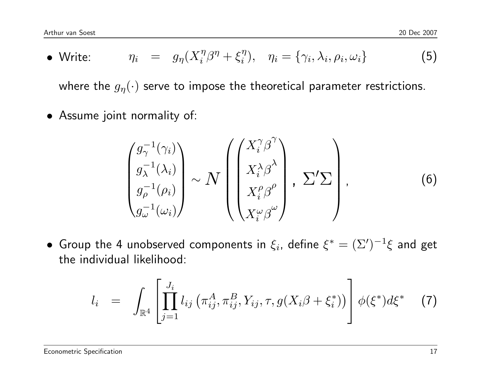• Write: 
$$
\eta_i = g_{\eta}(X_i^{\eta}\beta^{\eta} + \xi_i^{\eta}), \quad \eta_i = \{\gamma_i, \lambda_i, \rho_i, \omega_i\}
$$
 (5)

where the  $g_{\eta}(\cdot)$  serve to impose the theoretical parameter restrictions.

• Assume joint normality of:

$$
\begin{pmatrix} g_{\gamma}^{-1}(\gamma_i) \\ g_{\lambda}^{-1}(\lambda_i) \\ g_{\rho}^{-1}(\rho_i) \\ g_{\omega}^{-1}(\omega_i) \end{pmatrix} \sim N \begin{pmatrix} X_i^{\gamma} \beta^{\gamma} \\ X_i^{\lambda} \beta^{\lambda} \\ X_i^{\rho} \beta^{\rho} \\ X_i^{\omega} \beta^{\omega} \end{pmatrix}, \Sigma' \Sigma \qquad (6)
$$

 $\bullet$  Group the 4 unobserved components in  $\xi_i$ , define  $\xi^*=(\Sigma')^{-1}\xi$  and get the individual likelihood:

$$
l_i = \int_{\mathbb{R}^4} \left[ \prod_{j=1}^{J_i} l_{ij} \left( \pi_{ij}^A, \pi_{ij}^B, Y_{ij}, \tau, g(X_i \beta + \xi_i^*) \right) \right] \phi(\xi^*) d\xi^* \tag{7}
$$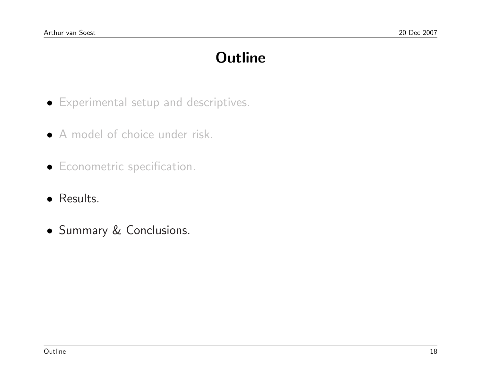# **Outline**

- Experimental setup and descriptives.
- A model of choice under risk.
- Econometric specification.
- Results.
- Summary & Conclusions.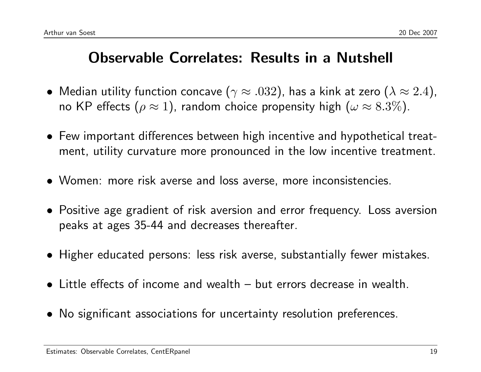### Observable Correlates: Results in a Nutshell

- Median utility function concave ( $\gamma \approx .032$ ), has a kink at zero ( $\lambda \approx 2.4$ ), no KP effects ( $\rho \approx 1$ ), random choice propensity high ( $\omega \approx 8.3\%$ ).
- Few important differences between high incentive and hypothetical treatment, utility curvature more pronounced in the low incentive treatment.
- Women: more risk averse and loss averse, more inconsistencies.
- Positive age gradient of risk aversion and error frequency. Loss aversion peaks at ages 35-44 and decreases thereafter.
- Higher educated persons: less risk averse, substantially fewer mistakes.
- Little effects of income and wealth but errors decrease in wealth.
- No significant associations for uncertainty resolution preferences.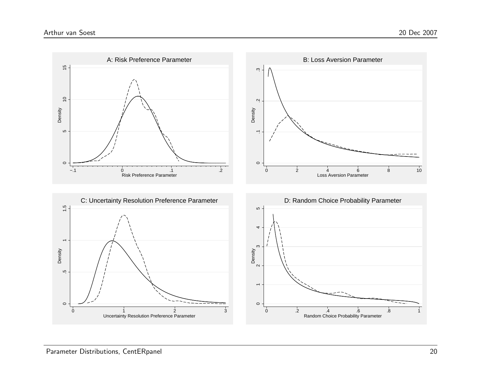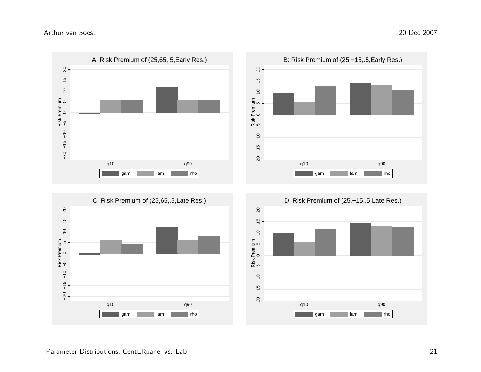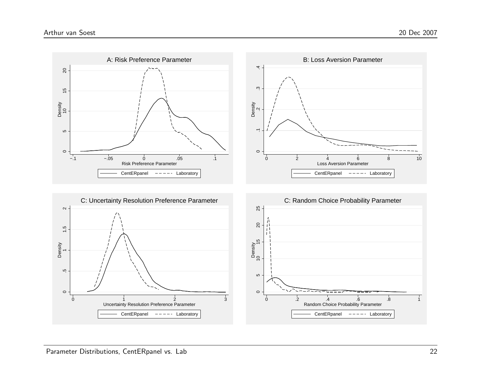



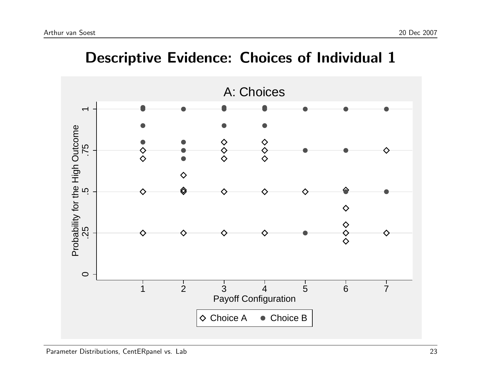

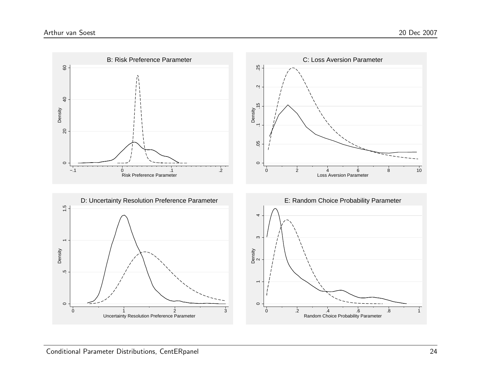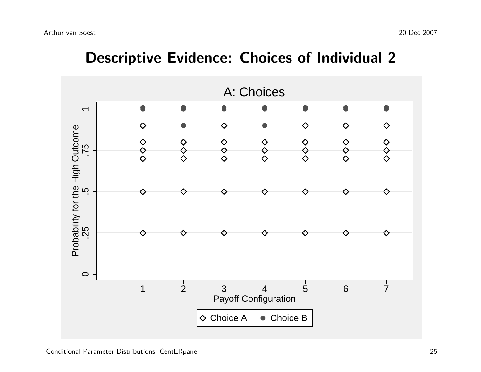

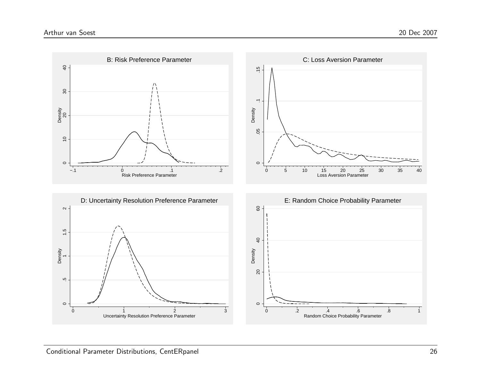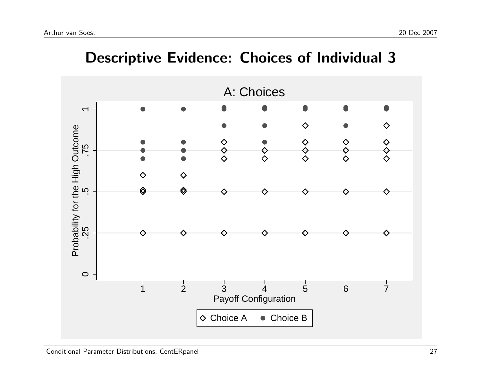

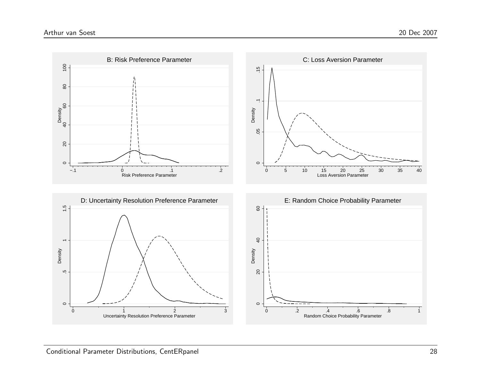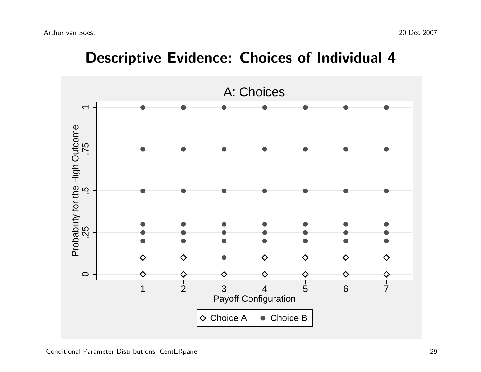

#### Descriptive Evidence: Choices of Individual 4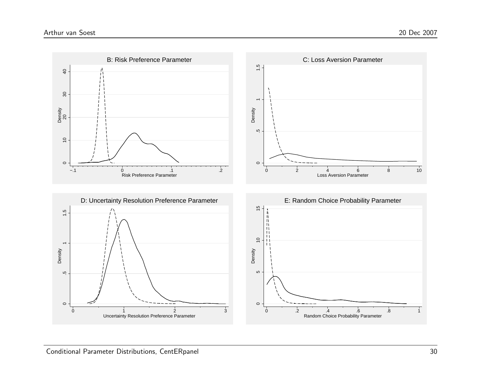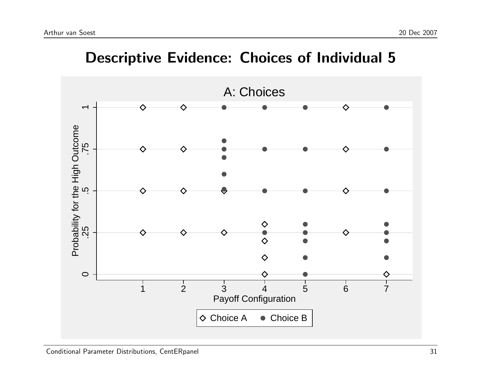

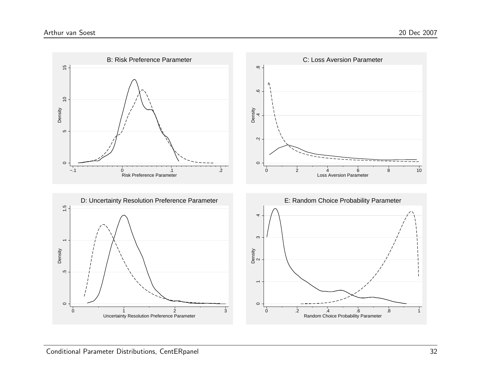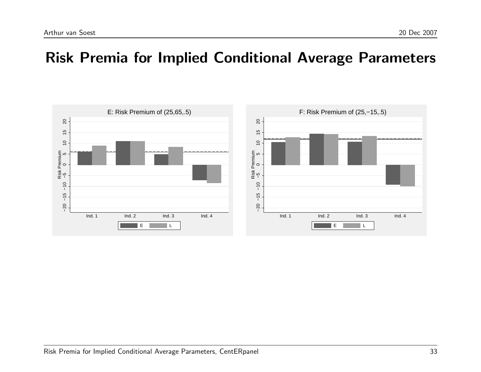#### Risk Premia for Implied Conditional Average Parameters

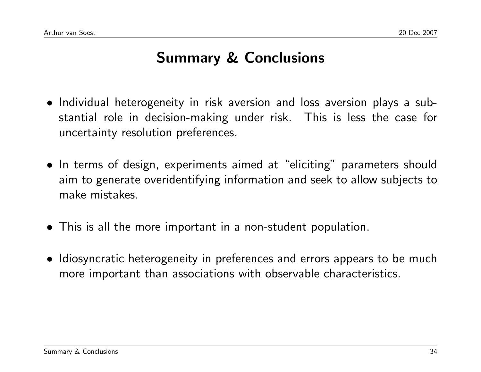# Summary & Conclusions

- Individual heterogeneity in risk aversion and loss aversion plays a substantial role in decision-making under risk. This is less the case for uncertainty resolution preferences.
- In terms of design, experiments aimed at "eliciting" parameters should aim to generate overidentifying information and seek to allow subjects to make mistakes.
- This is all the more important in a non-student population.
- Idiosyncratic heterogeneity in preferences and errors appears to be much more important than associations with observable characteristics.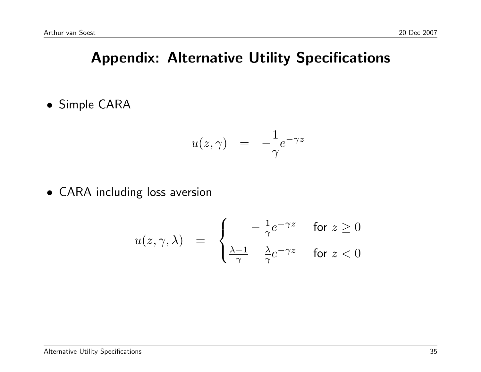# Appendix: Alternative Utility Specifications

• Simple CARA

$$
u(z,\gamma) \quad = \quad -\frac{1}{\gamma} e^{-\gamma z}
$$

• CARA including loss aversion

$$
u(z, \gamma, \lambda) = \begin{cases} -\frac{1}{\gamma} e^{-\gamma z} & \text{for } z \ge 0\\ \frac{\lambda - 1}{\gamma} - \frac{\lambda}{\gamma} e^{-\gamma z} & \text{for } z < 0 \end{cases}
$$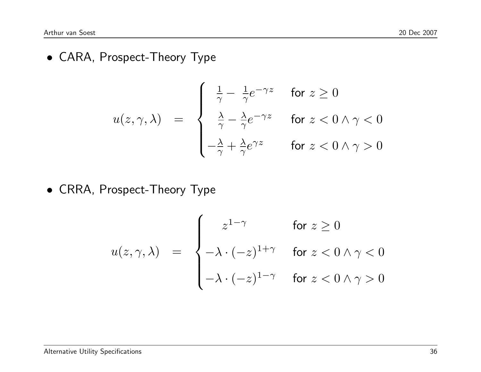• CARA, Prospect-Theory Type

$$
u(z, \gamma, \lambda) = \begin{cases} \frac{1}{\gamma} - \frac{1}{\gamma} e^{-\gamma z} & \text{for } z \ge 0 \\ \frac{\lambda}{\gamma} - \frac{\lambda}{\gamma} e^{-\gamma z} & \text{for } z < 0 \land \gamma < 0 \\ -\frac{\lambda}{\gamma} + \frac{\lambda}{\gamma} e^{\gamma z} & \text{for } z < 0 \land \gamma > 0 \end{cases}
$$

• CRRA, Prospect-Theory Type

$$
u(z, \gamma, \lambda) = \begin{cases} z^{1-\gamma} & \text{for } z \ge 0 \\ -\lambda \cdot (-z)^{1+\gamma} & \text{for } z < 0 \land \gamma < 0 \\ -\lambda \cdot (-z)^{1-\gamma} & \text{for } z < 0 \land \gamma > 0 \end{cases}
$$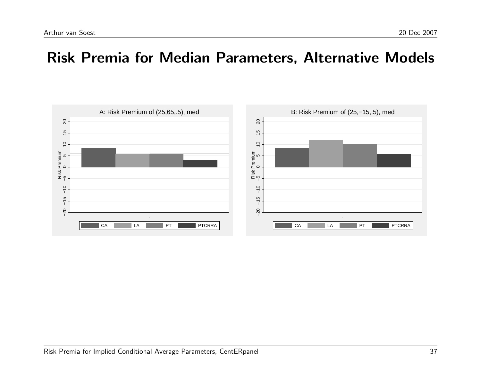#### Risk Premia for Median Parameters, Alternative Models